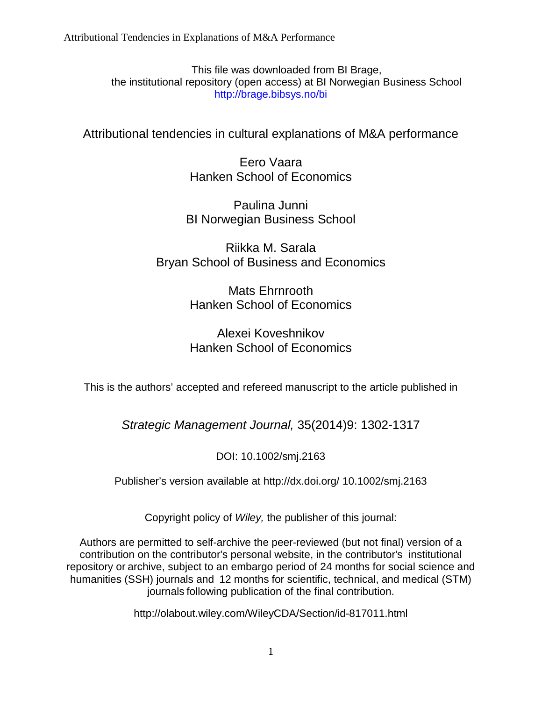This file was downloaded from BI Brage, the institutional repository (open access) at BI Norwegian Business School http://brage.bibsys.no/bi

Attributional tendencies in cultural explanations of M&A performance

Eero Vaara Hanken School of Economics

Paulina Junni BI Norwegian Business School

Riikka M. Sarala Bryan School of Business and Economics

> Mats Ehrnrooth Hanken School of Economics

# Alexei Koveshnikov Hanken School of Economics

This is the authors' accepted and refereed manuscript to the article published in

*Strategic Management Journal,* 35(2014)9: 1302-1317

DOI: 10.1002/smj.2163

Publisher's version available at http://dx.doi.org/ 10.1002/smj.2163

Copyright policy of *Wiley,* the publisher of this journal:

Authors are permitted to self-archive the peer-reviewed (but not final) version of a contribution on the contributor's personal website, in the contributor's institutional repository or archive, subject to an embargo period of 24 months for social science and humanities (SSH) journals and 12 months for scientific, technical, and medical (STM) journals following publication of the final contribution.

http://olabout.wiley.com/WileyCDA/Section/id-817011.html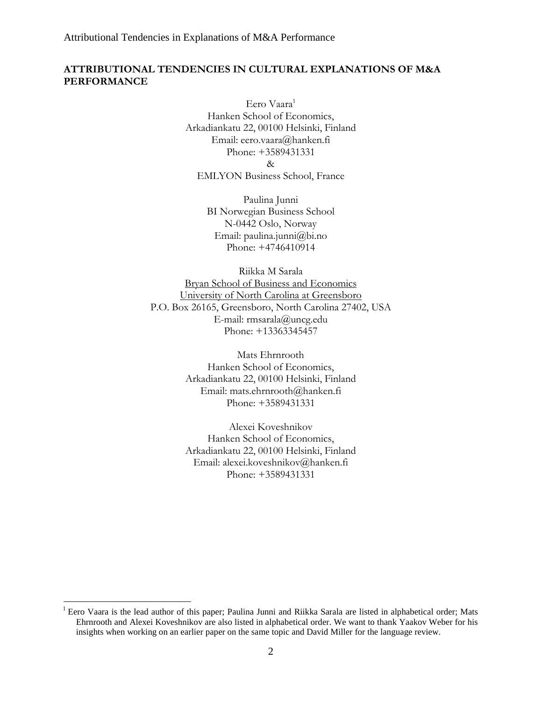# **ATTRIBUTIONAL TENDENCIES IN CULTURAL EXPLANATIONS OF M&A PERFORMANCE**

Eero Vaara<sup>1</sup> Hanken School of Economics, Arkadiankatu 22, 00100 Helsinki, Finland Email: eero.vaara@hanken.fi Phone: +3589431331 & EMLYON Business School, France

> Paulina Junni BI Norwegian Business School N-0442 Oslo, Norway Email: paulina.junni@bi.no Phone: +4746410914

Riikka M Sarala Bryan School of Business and Economics University of North Carolina at Greensboro P.O. Box 26165, Greensboro, North Carolina 27402, USA E-mail: rmsarala@uncg.edu Phone: +13363345457

> Mats Ehrnrooth Hanken School of Economics, Arkadiankatu 22, 00100 Helsinki, Finland Email: mats.ehrnrooth@hanken.fi Phone: +3589431331

> Alexei Koveshnikov Hanken School of Economics, Arkadiankatu 22, 00100 Helsinki, Finland Email: alexei.koveshnikov@hanken.fi Phone: +3589431331

 $\overline{a}$ 

<sup>&</sup>lt;sup>1</sup> Eero Vaara is the lead author of this paper; Paulina Junni and Riikka Sarala are listed in alphabetical order; Mats Ehrnrooth and Alexei Koveshnikov are also listed in alphabetical order. We want to thank Yaakov Weber for his insights when working on an earlier paper on the same topic and David Miller for the language review.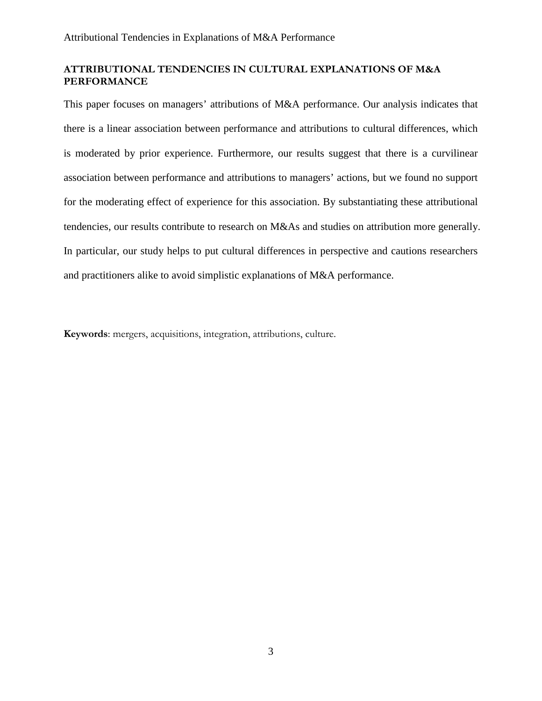# **ATTRIBUTIONAL TENDENCIES IN CULTURAL EXPLANATIONS OF M&A PERFORMANCE**

This paper focuses on managers' attributions of M&A performance. Our analysis indicates that there is a linear association between performance and attributions to cultural differences, which is moderated by prior experience. Furthermore, our results suggest that there is a curvilinear association between performance and attributions to managers' actions, but we found no support for the moderating effect of experience for this association. By substantiating these attributional tendencies, our results contribute to research on M&As and studies on attribution more generally. In particular, our study helps to put cultural differences in perspective and cautions researchers and practitioners alike to avoid simplistic explanations of M&A performance.

**Keywords**: mergers, acquisitions, integration, attributions, culture.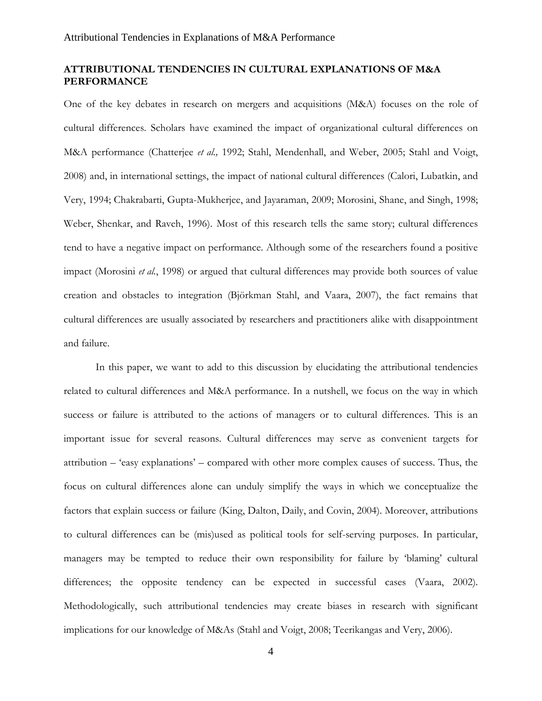# **ATTRIBUTIONAL TENDENCIES IN CULTURAL EXPLANATIONS OF M&A PERFORMANCE**

One of the key debates in research on mergers and acquisitions (M&A) focuses on the role of cultural differences. Scholars have examined the impact of organizational cultural differences on M&A performance (Chatterjee *et al.,* 1992; Stahl, Mendenhall, and Weber, 2005; Stahl and Voigt, 2008) and, in international settings, the impact of national cultural differences (Calori, Lubatkin, and Very, 1994; Chakrabarti, Gupta-Mukherjee, and Jayaraman, 2009; Morosini, Shane, and Singh, 1998; Weber, Shenkar, and Raveh, 1996). Most of this research tells the same story; cultural differences tend to have a negative impact on performance. Although some of the researchers found a positive impact (Morosini *et al.*, 1998) or argued that cultural differences may provide both sources of value creation and obstacles to integration (Björkman Stahl, and Vaara, 2007), the fact remains that cultural differences are usually associated by researchers and practitioners alike with disappointment and failure.

In this paper, we want to add to this discussion by elucidating the attributional tendencies related to cultural differences and M&A performance. In a nutshell, we focus on the way in which success or failure is attributed to the actions of managers or to cultural differences. This is an important issue for several reasons. Cultural differences may serve as convenient targets for attribution – 'easy explanations' – compared with other more complex causes of success. Thus, the focus on cultural differences alone can unduly simplify the ways in which we conceptualize the factors that explain success or failure (King, Dalton, Daily, and Covin, 2004). Moreover, attributions to cultural differences can be (mis)used as political tools for self-serving purposes. In particular, managers may be tempted to reduce their own responsibility for failure by 'blaming' cultural differences; the opposite tendency can be expected in successful cases (Vaara, 2002). Methodologically, such attributional tendencies may create biases in research with significant implications for our knowledge of M&As (Stahl and Voigt, 2008; Teerikangas and Very, 2006).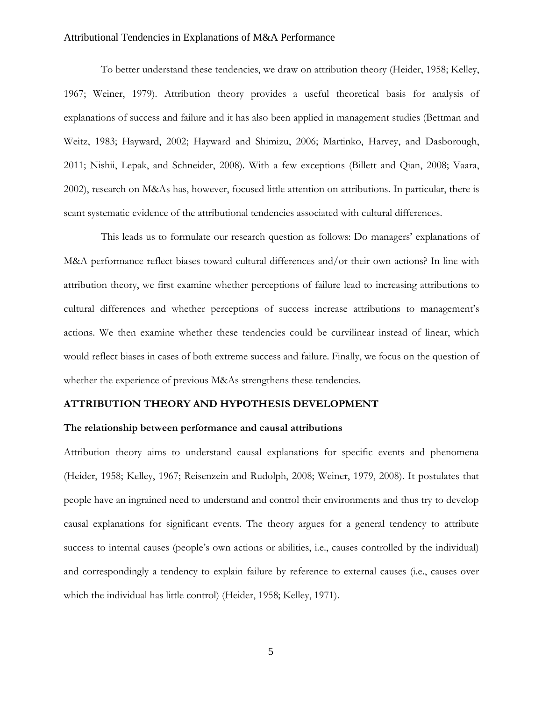To better understand these tendencies, we draw on attribution theory (Heider, 1958; Kelley, 1967; Weiner, 1979). Attribution theory provides a useful theoretical basis for analysis of explanations of success and failure and it has also been applied in management studies (Bettman and Weitz, 1983; Hayward, 2002; Hayward and Shimizu, 2006; Martinko, Harvey, and Dasborough, 2011; Nishii, Lepak, and Schneider, 2008). With a few exceptions (Billett and Qian, 2008; Vaara, 2002), research on M&As has, however, focused little attention on attributions. In particular, there is scant systematic evidence of the attributional tendencies associated with cultural differences.

This leads us to formulate our research question as follows: Do managers' explanations of M&A performance reflect biases toward cultural differences and/or their own actions? In line with attribution theory, we first examine whether perceptions of failure lead to increasing attributions to cultural differences and whether perceptions of success increase attributions to management's actions. We then examine whether these tendencies could be curvilinear instead of linear, which would reflect biases in cases of both extreme success and failure. Finally, we focus on the question of whether the experience of previous M&As strengthens these tendencies.

# **ATTRIBUTION THEORY AND HYPOTHESIS DEVELOPMENT**

# **The relationship between performance and causal attributions**

Attribution theory aims to understand causal explanations for specific events and phenomena (Heider, 1958; Kelley, 1967; Reisenzein and Rudolph, 2008; Weiner, 1979, 2008). It postulates that people have an ingrained need to understand and control their environments and thus try to develop causal explanations for significant events. The theory argues for a general tendency to attribute success to internal causes (people's own actions or abilities, i.e., causes controlled by the individual) and correspondingly a tendency to explain failure by reference to external causes (i.e., causes over which the individual has little control) (Heider, 1958; Kelley, 1971).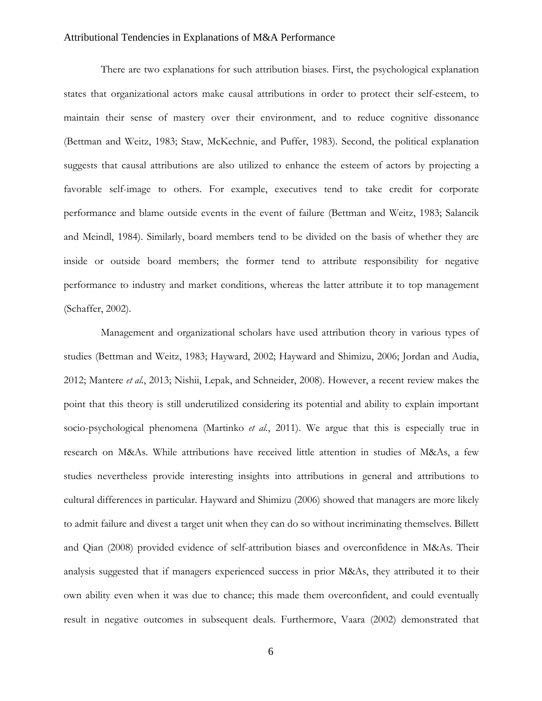There are two explanations for such attribution biases. First, the psychological explanation states that organizational actors make causal attributions in order to protect their self-esteem, to maintain their sense of mastery over their environment, and to reduce cognitive dissonance (Bettman and Weitz, 1983; Staw, McKechnie, and Puffer, 1983). Second, the political explanation suggests that causal attributions are also utilized to enhance the esteem of actors by projecting a favorable self-image to others. For example, executives tend to take credit for corporate performance and blame outside events in the event of failure (Bettman and Weitz, 1983; Salancik and Meindl, 1984). Similarly, board members tend to be divided on the basis of whether they are inside or outside board members; the former tend to attribute responsibility for negative performance to industry and market conditions, whereas the latter attribute it to top management (Schaffer, 2002).

Management and organizational scholars have used attribution theory in various types of studies (Bettman and Weitz, 1983; Hayward, 2002; Hayward and Shimizu, 2006; Jordan and Audia, 2012; Mantere *et al.*, 2013; Nishii, Lepak, and Schneider, 2008). However, a recent review makes the point that this theory is still underutilized considering its potential and ability to explain important socio-psychological phenomena (Martinko *et al.*, 2011). We argue that this is especially true in research on M&As. While attributions have received little attention in studies of M&As, a few studies nevertheless provide interesting insights into attributions in general and attributions to cultural differences in particular. Hayward and Shimizu (2006) showed that managers are more likely to admit failure and divest a target unit when they can do so without incriminating themselves. Billett and Qian (2008) provided evidence of self-attribution biases and overconfidence in M&As. Their analysis suggested that if managers experienced success in prior M&As, they attributed it to their own ability even when it was due to chance; this made them overconfident, and could eventually result in negative outcomes in subsequent deals. Furthermore, Vaara (2002) demonstrated that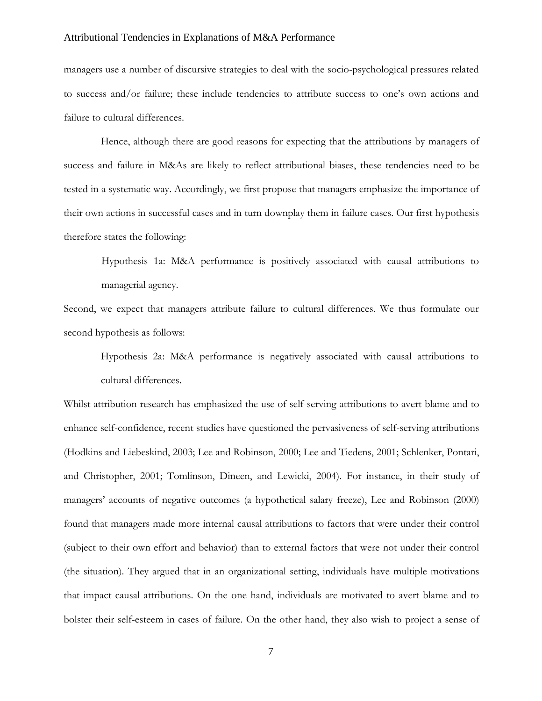managers use a number of discursive strategies to deal with the socio-psychological pressures related to success and/or failure; these include tendencies to attribute success to one's own actions and failure to cultural differences.

Hence, although there are good reasons for expecting that the attributions by managers of success and failure in M&As are likely to reflect attributional biases, these tendencies need to be tested in a systematic way. Accordingly, we first propose that managers emphasize the importance of their own actions in successful cases and in turn downplay them in failure cases. Our first hypothesis therefore states the following:

Hypothesis 1a: M&A performance is positively associated with causal attributions to managerial agency.

Second, we expect that managers attribute failure to cultural differences. We thus formulate our second hypothesis as follows:

Hypothesis 2a: M&A performance is negatively associated with causal attributions to cultural differences.

Whilst attribution research has emphasized the use of self-serving attributions to avert blame and to enhance self-confidence, recent studies have questioned the pervasiveness of self-serving attributions (Hodkins and Liebeskind, 2003; Lee and Robinson, 2000; Lee and Tiedens, 2001; Schlenker, Pontari, and Christopher, 2001; Tomlinson, Dineen, and Lewicki, 2004). For instance, in their study of managers' accounts of negative outcomes (a hypothetical salary freeze), Lee and Robinson (2000) found that managers made more internal causal attributions to factors that were under their control (subject to their own effort and behavior) than to external factors that were not under their control (the situation). They argued that in an organizational setting, individuals have multiple motivations that impact causal attributions. On the one hand, individuals are motivated to avert blame and to bolster their self-esteem in cases of failure. On the other hand, they also wish to project a sense of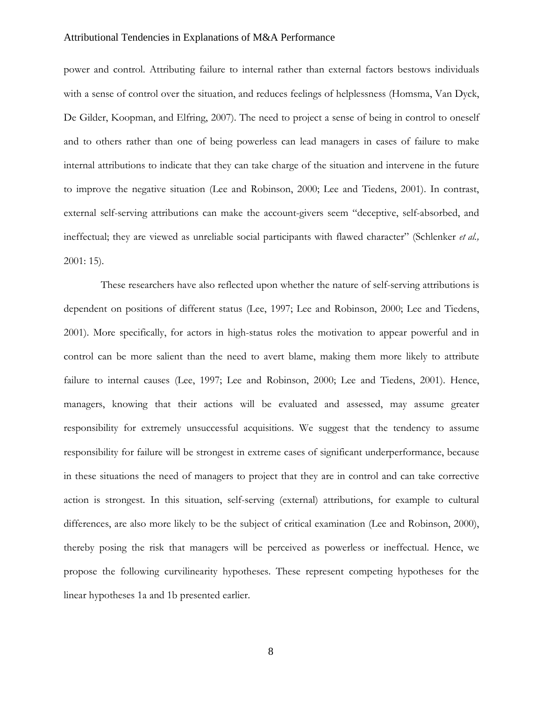power and control. Attributing failure to internal rather than external factors bestows individuals with a sense of control over the situation, and reduces feelings of helplessness (Homsma, Van Dyck, De Gilder, Koopman, and Elfring, 2007). The need to project a sense of being in control to oneself and to others rather than one of being powerless can lead managers in cases of failure to make internal attributions to indicate that they can take charge of the situation and intervene in the future to improve the negative situation (Lee and Robinson, 2000; Lee and Tiedens, 2001). In contrast, external self-serving attributions can make the account-givers seem "deceptive, self-absorbed, and ineffectual; they are viewed as unreliable social participants with flawed character" (Schlenker *et al.,* 2001: 15).

These researchers have also reflected upon whether the nature of self-serving attributions is dependent on positions of different status (Lee, 1997; Lee and Robinson, 2000; Lee and Tiedens, 2001). More specifically, for actors in high-status roles the motivation to appear powerful and in control can be more salient than the need to avert blame, making them more likely to attribute failure to internal causes (Lee, 1997; Lee and Robinson, 2000; Lee and Tiedens, 2001). Hence, managers, knowing that their actions will be evaluated and assessed, may assume greater responsibility for extremely unsuccessful acquisitions. We suggest that the tendency to assume responsibility for failure will be strongest in extreme cases of significant underperformance, because in these situations the need of managers to project that they are in control and can take corrective action is strongest. In this situation, self-serving (external) attributions, for example to cultural differences, are also more likely to be the subject of critical examination (Lee and Robinson, 2000), thereby posing the risk that managers will be perceived as powerless or ineffectual. Hence, we propose the following curvilinearity hypotheses. These represent competing hypotheses for the linear hypotheses 1a and 1b presented earlier.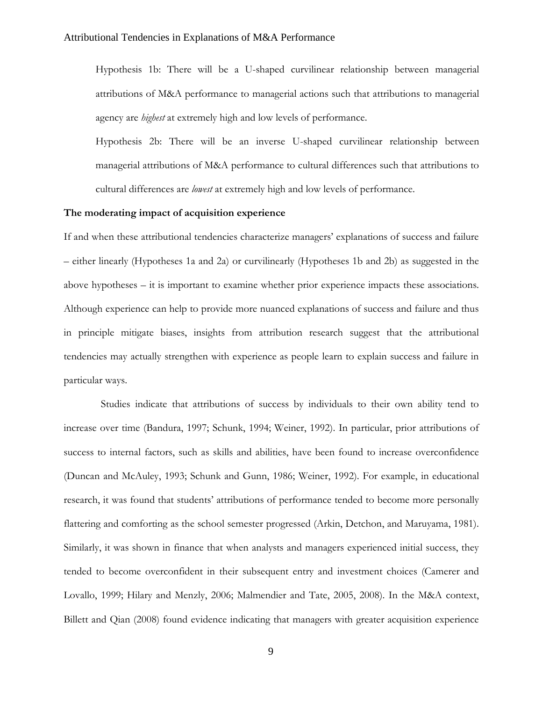Hypothesis 1b: There will be a U-shaped curvilinear relationship between managerial attributions of M&A performance to managerial actions such that attributions to managerial agency are *highest* at extremely high and low levels of performance.

Hypothesis 2b: There will be an inverse U-shaped curvilinear relationship between managerial attributions of M&A performance to cultural differences such that attributions to cultural differences are *lowest* at extremely high and low levels of performance.

# **The moderating impact of acquisition experience**

If and when these attributional tendencies characterize managers' explanations of success and failure – either linearly (Hypotheses 1a and 2a) or curvilinearly (Hypotheses 1b and 2b) as suggested in the above hypotheses – it is important to examine whether prior experience impacts these associations. Although experience can help to provide more nuanced explanations of success and failure and thus in principle mitigate biases, insights from attribution research suggest that the attributional tendencies may actually strengthen with experience as people learn to explain success and failure in particular ways.

Studies indicate that attributions of success by individuals to their own ability tend to increase over time (Bandura, 1997; Schunk, 1994; Weiner, 1992). In particular, prior attributions of success to internal factors, such as skills and abilities, have been found to increase overconfidence (Duncan and McAuley, 1993; Schunk and Gunn, 1986; Weiner, 1992). For example, in educational research, it was found that students' attributions of performance tended to become more personally flattering and comforting as the school semester progressed (Arkin, Detchon, and Maruyama, 1981). Similarly, it was shown in finance that when analysts and managers experienced initial success, they tended to become overconfident in their subsequent entry and investment choices (Camerer and Lovallo, 1999; Hilary and Menzly, 2006; Malmendier and Tate, 2005, 2008). In the M&A context, Billett and Qian (2008) found evidence indicating that managers with greater acquisition experience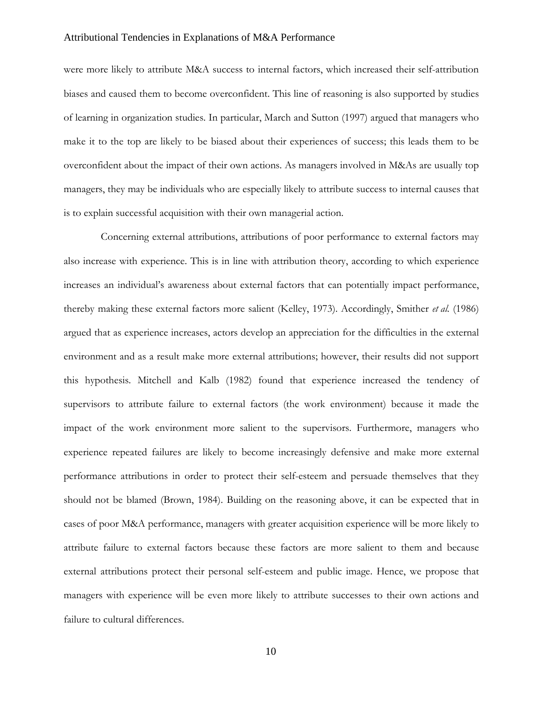were more likely to attribute M&A success to internal factors, which increased their self-attribution biases and caused them to become overconfident. This line of reasoning is also supported by studies of learning in organization studies. In particular, March and Sutton (1997) argued that managers who make it to the top are likely to be biased about their experiences of success; this leads them to be overconfident about the impact of their own actions. As managers involved in M&As are usually top managers, they may be individuals who are especially likely to attribute success to internal causes that is to explain successful acquisition with their own managerial action.

Concerning external attributions, attributions of poor performance to external factors may also increase with experience. This is in line with attribution theory, according to which experience increases an individual's awareness about external factors that can potentially impact performance, thereby making these external factors more salient (Kelley, 1973). Accordingly, Smither *et al.* (1986) argued that as experience increases, actors develop an appreciation for the difficulties in the external environment and as a result make more external attributions; however, their results did not support this hypothesis. Mitchell and Kalb (1982) found that experience increased the tendency of supervisors to attribute failure to external factors (the work environment) because it made the impact of the work environment more salient to the supervisors. Furthermore, managers who experience repeated failures are likely to become increasingly defensive and make more external performance attributions in order to protect their self-esteem and persuade themselves that they should not be blamed (Brown, 1984). Building on the reasoning above, it can be expected that in cases of poor M&A performance, managers with greater acquisition experience will be more likely to attribute failure to external factors because these factors are more salient to them and because external attributions protect their personal self-esteem and public image. Hence, we propose that managers with experience will be even more likely to attribute successes to their own actions and failure to cultural differences.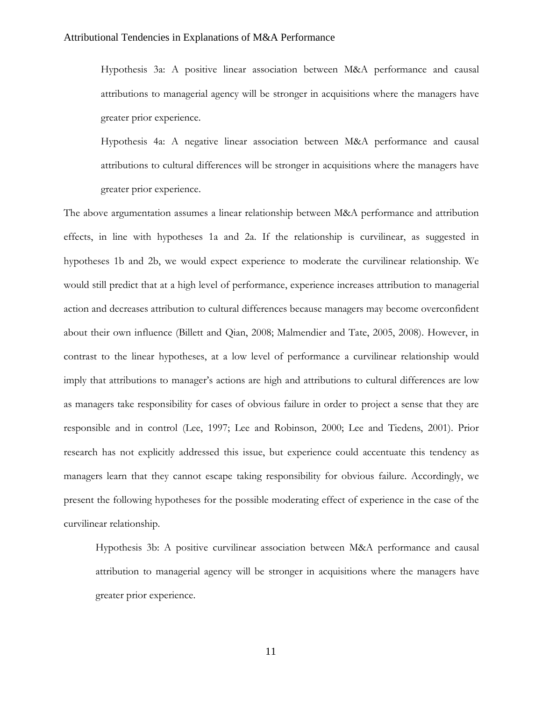Hypothesis 3a: A positive linear association between M&A performance and causal attributions to managerial agency will be stronger in acquisitions where the managers have greater prior experience.

Hypothesis 4a: A negative linear association between M&A performance and causal attributions to cultural differences will be stronger in acquisitions where the managers have greater prior experience.

The above argumentation assumes a linear relationship between M&A performance and attribution effects, in line with hypotheses 1a and 2a. If the relationship is curvilinear, as suggested in hypotheses 1b and 2b, we would expect experience to moderate the curvilinear relationship. We would still predict that at a high level of performance, experience increases attribution to managerial action and decreases attribution to cultural differences because managers may become overconfident about their own influence (Billett and Qian, 2008; Malmendier and Tate, 2005, 2008). However, in contrast to the linear hypotheses, at a low level of performance a curvilinear relationship would imply that attributions to manager's actions are high and attributions to cultural differences are low as managers take responsibility for cases of obvious failure in order to project a sense that they are responsible and in control (Lee, 1997; Lee and Robinson, 2000; Lee and Tiedens, 2001). Prior research has not explicitly addressed this issue, but experience could accentuate this tendency as managers learn that they cannot escape taking responsibility for obvious failure. Accordingly, we present the following hypotheses for the possible moderating effect of experience in the case of the curvilinear relationship.

Hypothesis 3b: A positive curvilinear association between M&A performance and causal attribution to managerial agency will be stronger in acquisitions where the managers have greater prior experience.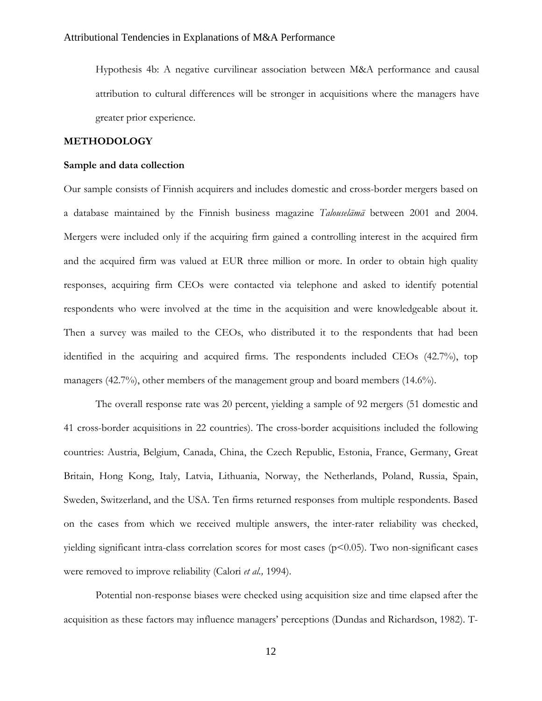Hypothesis 4b: A negative curvilinear association between M&A performance and causal attribution to cultural differences will be stronger in acquisitions where the managers have greater prior experience.

# **METHODOLOGY**

# **Sample and data collection**

Our sample consists of Finnish acquirers and includes domestic and cross-border mergers based on a database maintained by the Finnish business magazine *Talouselämä* between 2001 and 2004. Mergers were included only if the acquiring firm gained a controlling interest in the acquired firm and the acquired firm was valued at EUR three million or more. In order to obtain high quality responses, acquiring firm CEOs were contacted via telephone and asked to identify potential respondents who were involved at the time in the acquisition and were knowledgeable about it. Then a survey was mailed to the CEOs, who distributed it to the respondents that had been identified in the acquiring and acquired firms. The respondents included CEOs (42.7%), top managers (42.7%), other members of the management group and board members (14.6%).

The overall response rate was 20 percent, yielding a sample of 92 mergers (51 domestic and 41 cross-border acquisitions in 22 countries). The cross-border acquisitions included the following countries: Austria, Belgium, Canada, China, the Czech Republic, Estonia, France, Germany, Great Britain, Hong Kong, Italy, Latvia, Lithuania, Norway, the Netherlands, Poland, Russia, Spain, Sweden, Switzerland, and the USA. Ten firms returned responses from multiple respondents. Based on the cases from which we received multiple answers, the inter-rater reliability was checked, yielding significant intra-class correlation scores for most cases ( $p$ <0.05). Two non-significant cases were removed to improve reliability (Calori *et al.,* 1994).

Potential non-response biases were checked using acquisition size and time elapsed after the acquisition as these factors may influence managers' perceptions (Dundas and Richardson, 1982). T-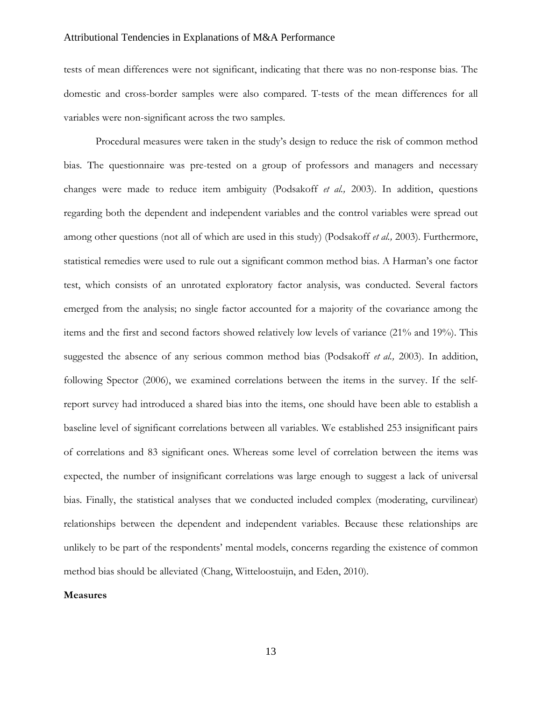tests of mean differences were not significant, indicating that there was no non-response bias. The domestic and cross-border samples were also compared. T-tests of the mean differences for all variables were non-significant across the two samples.

Procedural measures were taken in the study's design to reduce the risk of common method bias. The questionnaire was pre-tested on a group of professors and managers and necessary changes were made to reduce item ambiguity (Podsakoff *et al.,* 2003). In addition, questions regarding both the dependent and independent variables and the control variables were spread out among other questions (not all of which are used in this study) (Podsakoff *et al.,* 2003). Furthermore, statistical remedies were used to rule out a significant common method bias. A Harman's one factor test, which consists of an unrotated exploratory factor analysis, was conducted. Several factors emerged from the analysis; no single factor accounted for a majority of the covariance among the items and the first and second factors showed relatively low levels of variance (21% and 19%). This suggested the absence of any serious common method bias (Podsakoff *et al.,* 2003). In addition, following Spector (2006), we examined correlations between the items in the survey. If the selfreport survey had introduced a shared bias into the items, one should have been able to establish a baseline level of significant correlations between all variables. We established 253 insignificant pairs of correlations and 83 significant ones. Whereas some level of correlation between the items was expected, the number of insignificant correlations was large enough to suggest a lack of universal bias. Finally, the statistical analyses that we conducted included complex (moderating, curvilinear) relationships between the dependent and independent variables. Because these relationships are unlikely to be part of the respondents' mental models, concerns regarding the existence of common method bias should be alleviated (Chang, Witteloostuijn, and Eden, 2010).

#### **Measures**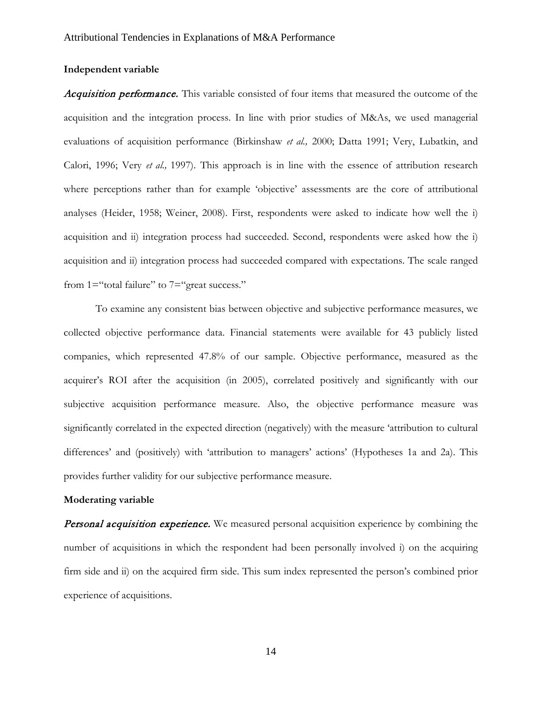# **Independent variable**

Acquisition performance. This variable consisted of four items that measured the outcome of the acquisition and the integration process. In line with prior studies of M&As, we used managerial evaluations of acquisition performance (Birkinshaw *et al.,* 2000; Datta 1991; Very, Lubatkin, and Calori, 1996; Very *et al.,* 1997). This approach is in line with the essence of attribution research where perceptions rather than for example 'objective' assessments are the core of attributional analyses (Heider, 1958; Weiner, 2008). First, respondents were asked to indicate how well the i) acquisition and ii) integration process had succeeded. Second, respondents were asked how the i) acquisition and ii) integration process had succeeded compared with expectations. The scale ranged from 1="total failure" to 7="great success."

To examine any consistent bias between objective and subjective performance measures, we collected objective performance data. Financial statements were available for 43 publicly listed companies, which represented 47.8% of our sample. Objective performance, measured as the acquirer's ROI after the acquisition (in 2005), correlated positively and significantly with our subjective acquisition performance measure. Also, the objective performance measure was significantly correlated in the expected direction (negatively) with the measure 'attribution to cultural differences' and (positively) with 'attribution to managers' actions' (Hypotheses 1a and 2a). This provides further validity for our subjective performance measure.

#### **Moderating variable**

**Personal acquisition experience.** We measured personal acquisition experience by combining the number of acquisitions in which the respondent had been personally involved i) on the acquiring firm side and ii) on the acquired firm side. This sum index represented the person's combined prior experience of acquisitions.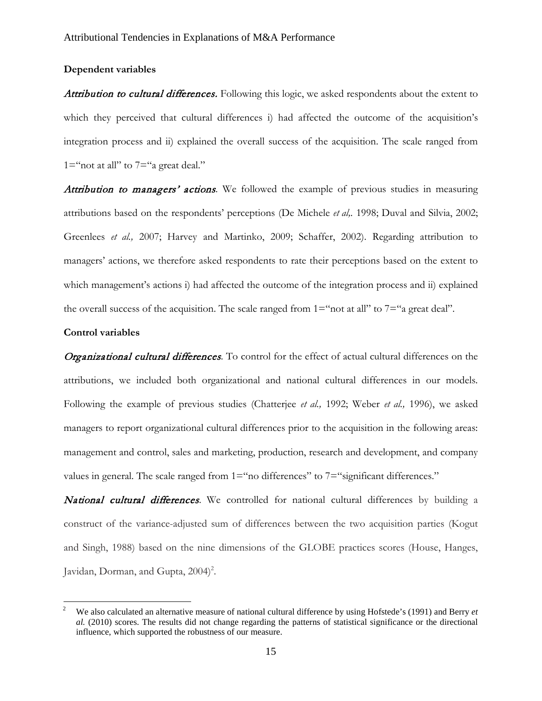# **Dependent variables**

Attribution to cultural differences. Following this logic, we asked respondents about the extent to which they perceived that cultural differences i) had affected the outcome of the acquisition's integration process and ii) explained the overall success of the acquisition. The scale ranged from  $1 =$ "not at all" to  $7 =$ "a great deal."

Attribution to managers' actions. We followed the example of previous studies in measuring attributions based on the respondents' perceptions (De Michele *et al,.* 1998; Duval and Silvia, 2002; Greenlees *et al.,* 2007; Harvey and Martinko, 2009; Schaffer, 2002). Regarding attribution to managers' actions, we therefore asked respondents to rate their perceptions based on the extent to which management's actions i) had affected the outcome of the integration process and ii) explained the overall success of the acquisition. The scale ranged from  $1 =$ "not at all" to  $7 =$ "a great deal".

### **Control variables**

Organizational cultural differences*.* To control for the effect of actual cultural differences on the attributions, we included both organizational and national cultural differences in our models. Following the example of previous studies (Chatterjee *et al.,* 1992; Weber *et al.,* 1996), we asked managers to report organizational cultural differences prior to the acquisition in the following areas: management and control, sales and marketing, production, research and development, and company values in general. The scale ranged from 1="no differences" to 7="significant differences."

National cultural differences*.* We controlled for national cultural differences by building a construct of the variance-adjusted sum of differences between the two acquisition parties (Kogut and Singh, 1988) based on the nine dimensions of the GLOBE practices scores (House, Hanges, Javidan, Dorman, and Gupta, 2004)<sup>2</sup>.

<sup>2</sup> We also calculated an alternative measure of national cultural difference by using Hofstede's (1991) and Berry *et al.* (2010) scores. The results did not change regarding the patterns of statistical significance or the directional influence, which supported the robustness of our measure.  $\,2\,$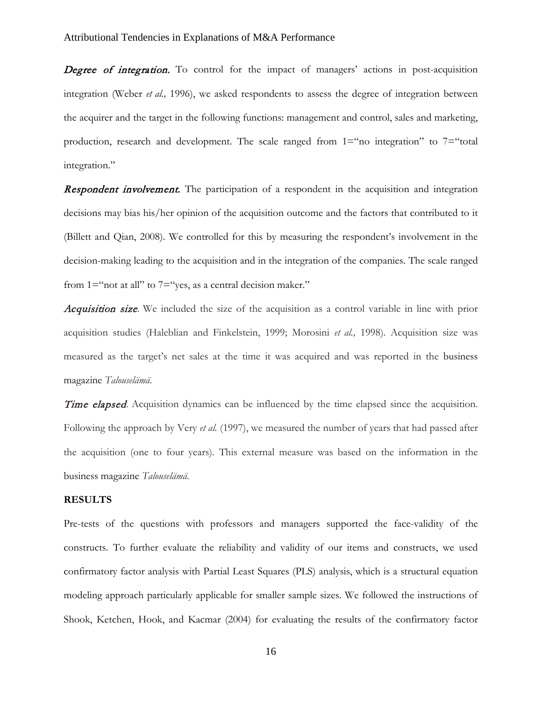Degree of integration. To control for the impact of managers' actions in post-acquisition integration (Weber *et al.,* 1996), we asked respondents to assess the degree of integration between the acquirer and the target in the following functions: management and control, sales and marketing, production, research and development. The scale ranged from  $1 =$ "no integration" to  $7 =$ "total integration."

**Respondent involvement.** The participation of a respondent in the acquisition and integration decisions may bias his/her opinion of the acquisition outcome and the factors that contributed to it (Billett and Qian, 2008). We controlled for this by measuring the respondent's involvement in the decision-making leading to the acquisition and in the integration of the companies. The scale ranged from  $1 =$ "not at all" to  $7 =$ "yes, as a central decision maker."

Acquisition size*.* We included the size of the acquisition as a control variable in line with prior acquisition studies (Haleblian and Finkelstein, 1999; Morosini *et al.,* 1998). Acquisition size was measured as the target's net sales at the time it was acquired and was reported in the business magazine *Talouselämä*.

Time elapsed. Acquisition dynamics can be influenced by the time elapsed since the acquisition. Following the approach by Very *et al.* (1997), we measured the number of years that had passed after the acquisition (one to four years). This external measure was based on the information in the business magazine *Talouselämä*.

#### **RESULTS**

Pre-tests of the questions with professors and managers supported the face-validity of the constructs. To further evaluate the reliability and validity of our items and constructs, we used confirmatory factor analysis with Partial Least Squares (PLS) analysis, which is a structural equation modeling approach particularly applicable for smaller sample sizes. We followed the instructions of Shook, Ketchen, Hook, and Kacmar (2004) for evaluating the results of the confirmatory factor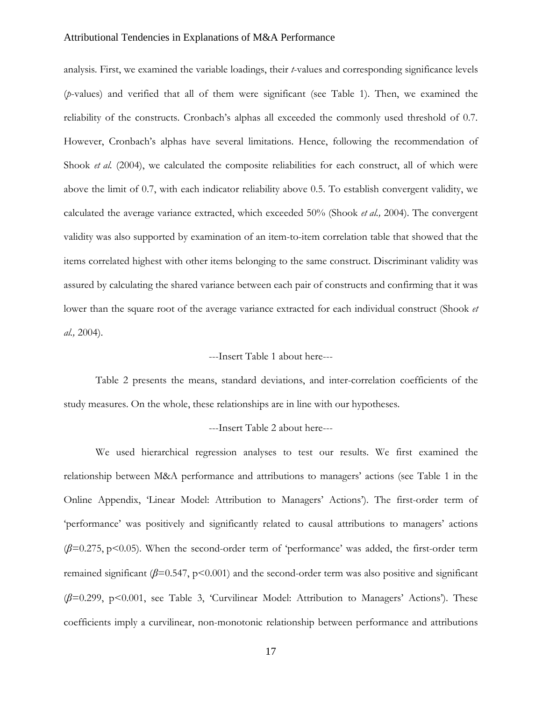analysis. First, we examined the variable loadings, their *t*-values and corresponding significance levels (*p*-values) and verified that all of them were significant (see Table 1). Then, we examined the reliability of the constructs. Cronbach's alphas all exceeded the commonly used threshold of 0.7. However, Cronbach's alphas have several limitations. Hence, following the recommendation of Shook *et al.* (2004), we calculated the composite reliabilities for each construct, all of which were above the limit of 0.7, with each indicator reliability above 0.5. To establish convergent validity, we calculated the average variance extracted, which exceeded 50% (Shook *et al.,* 2004). The convergent validity was also supported by examination of an item-to-item correlation table that showed that the items correlated highest with other items belonging to the same construct. Discriminant validity was assured by calculating the shared variance between each pair of constructs and confirming that it was lower than the square root of the average variance extracted for each individual construct (Shook *et al.,* 2004).

# ---Insert Table 1 about here---

Table 2 presents the means, standard deviations, and inter-correlation coefficients of the study measures. On the whole, these relationships are in line with our hypotheses.

# ---Insert Table 2 about here---

We used hierarchical regression analyses to test our results. We first examined the relationship between M&A performance and attributions to managers' actions (see Table 1 in the Online Appendix, 'Linear Model: Attribution to Managers' Actions'). The first-order term of 'performance' was positively and significantly related to causal attributions to managers' actions (*β*=0.275, p<0.05). When the second-order term of 'performance' was added, the first-order term remained significant  $(\beta=0.547, p<0.001)$  and the second-order term was also positive and significant (*β*=0.299, p<0.001, see Table 3, 'Curvilinear Model: Attribution to Managers' Actions'). These coefficients imply a curvilinear, non-monotonic relationship between performance and attributions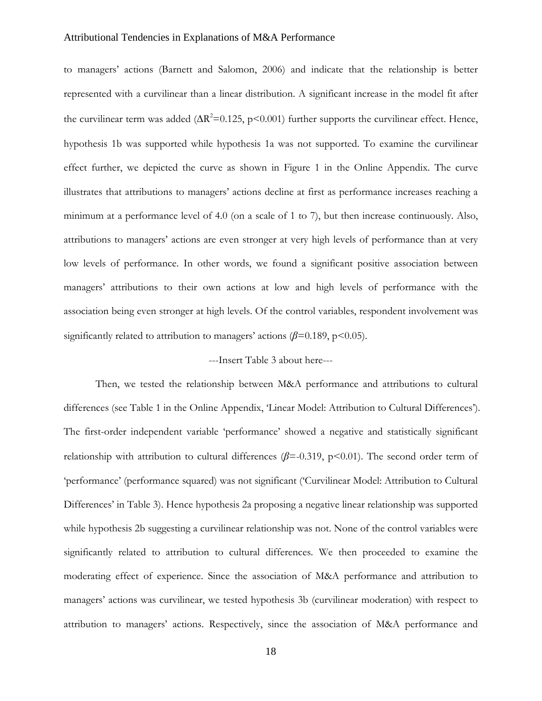to managers' actions (Barnett and Salomon, 2006) and indicate that the relationship is better represented with a curvilinear than a linear distribution. A significant increase in the model fit after the curvilinear term was added  $(\Delta R^2 = 0.125, p \le 0.001)$  further supports the curvilinear effect. Hence, hypothesis 1b was supported while hypothesis 1a was not supported. To examine the curvilinear effect further, we depicted the curve as shown in Figure 1 in the Online Appendix. The curve illustrates that attributions to managers' actions decline at first as performance increases reaching a minimum at a performance level of 4.0 (on a scale of 1 to 7), but then increase continuously. Also, attributions to managers' actions are even stronger at very high levels of performance than at very low levels of performance. In other words, we found a significant positive association between managers' attributions to their own actions at low and high levels of performance with the association being even stronger at high levels. Of the control variables, respondent involvement was significantly related to attribution to managers' actions  $(\beta=0.189, p<0.05)$ .

# ---Insert Table 3 about here---

Then, we tested the relationship between M&A performance and attributions to cultural differences (see Table 1 in the Online Appendix, 'Linear Model: Attribution to Cultural Differences'). The first-order independent variable 'performance' showed a negative and statistically significant relationship with attribution to cultural differences  $(\beta = 0.319, p < 0.01)$ . The second order term of 'performance' (performance squared) was not significant ('Curvilinear Model: Attribution to Cultural Differences' in Table 3). Hence hypothesis 2a proposing a negative linear relationship was supported while hypothesis 2b suggesting a curvilinear relationship was not. None of the control variables were significantly related to attribution to cultural differences. We then proceeded to examine the moderating effect of experience. Since the association of M&A performance and attribution to managers' actions was curvilinear, we tested hypothesis 3b (curvilinear moderation) with respect to attribution to managers' actions. Respectively, since the association of M&A performance and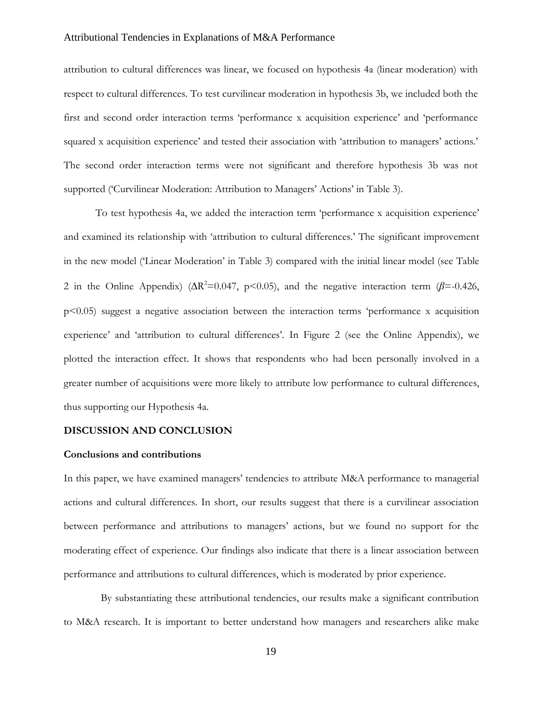attribution to cultural differences was linear, we focused on hypothesis 4a (linear moderation) with respect to cultural differences. To test curvilinear moderation in hypothesis 3b, we included both the first and second order interaction terms 'performance x acquisition experience' and 'performance squared x acquisition experience' and tested their association with 'attribution to managers' actions.' The second order interaction terms were not significant and therefore hypothesis 3b was not supported ('Curvilinear Moderation: Attribution to Managers' Actions' in Table 3).

To test hypothesis 4a, we added the interaction term 'performance x acquisition experience' and examined its relationship with 'attribution to cultural differences.' The significant improvement in the new model ('Linear Moderation' in Table 3) compared with the initial linear model (see Table 2 in the Online Appendix) ( $\Delta R^2 = 0.047$ , p<0.05), and the negative interaction term ( $\beta = -0.426$ , p<0.05) suggest a negative association between the interaction terms 'performance x acquisition experience' and 'attribution to cultural differences'. In Figure 2 (see the Online Appendix), we plotted the interaction effect. It shows that respondents who had been personally involved in a greater number of acquisitions were more likely to attribute low performance to cultural differences, thus supporting our Hypothesis 4a.

# **DISCUSSION AND CONCLUSION**

#### **Conclusions and contributions**

In this paper, we have examined managers' tendencies to attribute M&A performance to managerial actions and cultural differences. In short, our results suggest that there is a curvilinear association between performance and attributions to managers' actions, but we found no support for the moderating effect of experience. Our findings also indicate that there is a linear association between performance and attributions to cultural differences, which is moderated by prior experience.

By substantiating these attributional tendencies, our results make a significant contribution to M&A research. It is important to better understand how managers and researchers alike make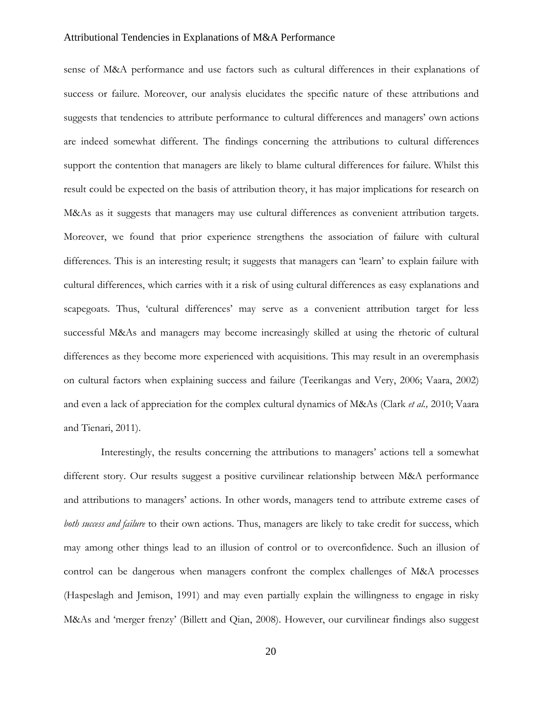sense of M&A performance and use factors such as cultural differences in their explanations of success or failure. Moreover, our analysis elucidates the specific nature of these attributions and suggests that tendencies to attribute performance to cultural differences and managers' own actions are indeed somewhat different. The findings concerning the attributions to cultural differences support the contention that managers are likely to blame cultural differences for failure. Whilst this result could be expected on the basis of attribution theory, it has major implications for research on M&As as it suggests that managers may use cultural differences as convenient attribution targets. Moreover, we found that prior experience strengthens the association of failure with cultural differences. This is an interesting result; it suggests that managers can 'learn' to explain failure with cultural differences, which carries with it a risk of using cultural differences as easy explanations and scapegoats. Thus, 'cultural differences' may serve as a convenient attribution target for less successful M&As and managers may become increasingly skilled at using the rhetoric of cultural differences as they become more experienced with acquisitions. This may result in an overemphasis on cultural factors when explaining success and failure (Teerikangas and Very, 2006; Vaara, 2002) and even a lack of appreciation for the complex cultural dynamics of M&As (Clark *et al.,* 2010; Vaara and Tienari, 2011).

Interestingly, the results concerning the attributions to managers' actions tell a somewhat different story. Our results suggest a positive curvilinear relationship between M&A performance and attributions to managers' actions. In other words, managers tend to attribute extreme cases of *both success and failure* to their own actions. Thus, managers are likely to take credit for success, which may among other things lead to an illusion of control or to overconfidence. Such an illusion of control can be dangerous when managers confront the complex challenges of M&A processes (Haspeslagh and Jemison, 1991) and may even partially explain the willingness to engage in risky M&As and 'merger frenzy' (Billett and Qian, 2008). However, our curvilinear findings also suggest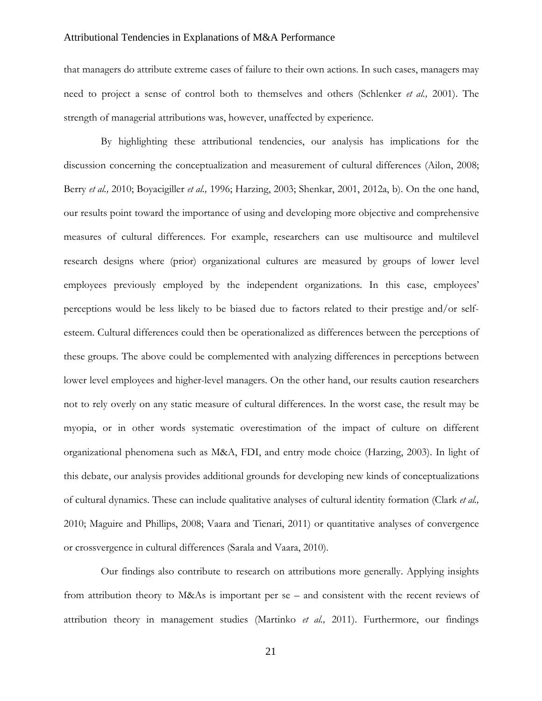that managers do attribute extreme cases of failure to their own actions. In such cases, managers may need to project a sense of control both to themselves and others (Schlenker *et al.,* 2001). The strength of managerial attributions was, however, unaffected by experience.

By highlighting these attributional tendencies, our analysis has implications for the discussion concerning the conceptualization and measurement of cultural differences (Ailon, 2008; Berry *et al.,* 2010; Boyacigiller *et al.,* 1996; Harzing, 2003; Shenkar, 2001, 2012a, b). On the one hand, our results point toward the importance of using and developing more objective and comprehensive measures of cultural differences. For example, researchers can use multisource and multilevel research designs where (prior) organizational cultures are measured by groups of lower level employees previously employed by the independent organizations. In this case, employees' perceptions would be less likely to be biased due to factors related to their prestige and/or selfesteem. Cultural differences could then be operationalized as differences between the perceptions of these groups. The above could be complemented with analyzing differences in perceptions between lower level employees and higher-level managers. On the other hand, our results caution researchers not to rely overly on any static measure of cultural differences. In the worst case, the result may be myopia, or in other words systematic overestimation of the impact of culture on different organizational phenomena such as M&A, FDI, and entry mode choice (Harzing, 2003). In light of this debate, our analysis provides additional grounds for developing new kinds of conceptualizations of cultural dynamics. These can include qualitative analyses of cultural identity formation (Clark *et al.,* 2010; Maguire and Phillips, 2008; Vaara and Tienari, 2011) or quantitative analyses of convergence or crossvergence in cultural differences (Sarala and Vaara, 2010).

Our findings also contribute to research on attributions more generally. Applying insights from attribution theory to M&As is important per se – and consistent with the recent reviews of attribution theory in management studies (Martinko *et al.,* 2011). Furthermore, our findings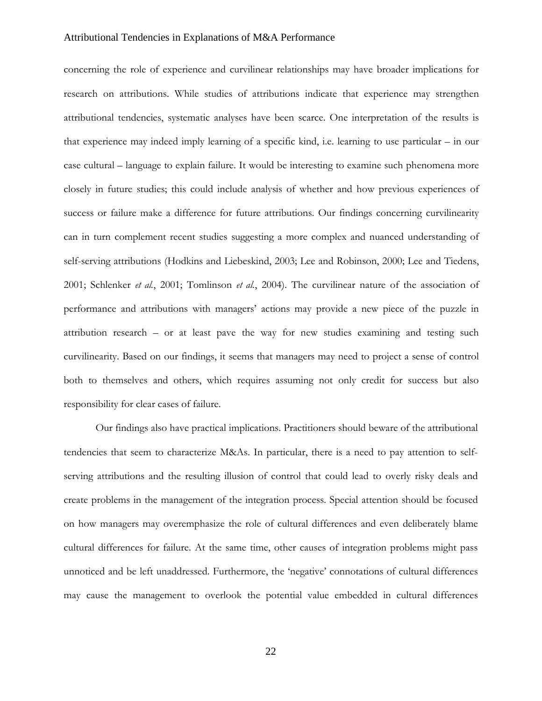concerning the role of experience and curvilinear relationships may have broader implications for research on attributions. While studies of attributions indicate that experience may strengthen attributional tendencies, systematic analyses have been scarce. One interpretation of the results is that experience may indeed imply learning of a specific kind, i.e. learning to use particular – in our case cultural – language to explain failure. It would be interesting to examine such phenomena more closely in future studies; this could include analysis of whether and how previous experiences of success or failure make a difference for future attributions. Our findings concerning curvilinearity can in turn complement recent studies suggesting a more complex and nuanced understanding of self-serving attributions (Hodkins and Liebeskind, 2003; Lee and Robinson, 2000; Lee and Tiedens, 2001; Schlenker *et al.*, 2001; Tomlinson *et al.*, 2004). The curvilinear nature of the association of performance and attributions with managers' actions may provide a new piece of the puzzle in attribution research – or at least pave the way for new studies examining and testing such curvilinearity. Based on our findings, it seems that managers may need to project a sense of control both to themselves and others, which requires assuming not only credit for success but also responsibility for clear cases of failure.

Our findings also have practical implications. Practitioners should beware of the attributional tendencies that seem to characterize M&As. In particular, there is a need to pay attention to selfserving attributions and the resulting illusion of control that could lead to overly risky deals and create problems in the management of the integration process. Special attention should be focused on how managers may overemphasize the role of cultural differences and even deliberately blame cultural differences for failure. At the same time, other causes of integration problems might pass unnoticed and be left unaddressed. Furthermore, the 'negative' connotations of cultural differences may cause the management to overlook the potential value embedded in cultural differences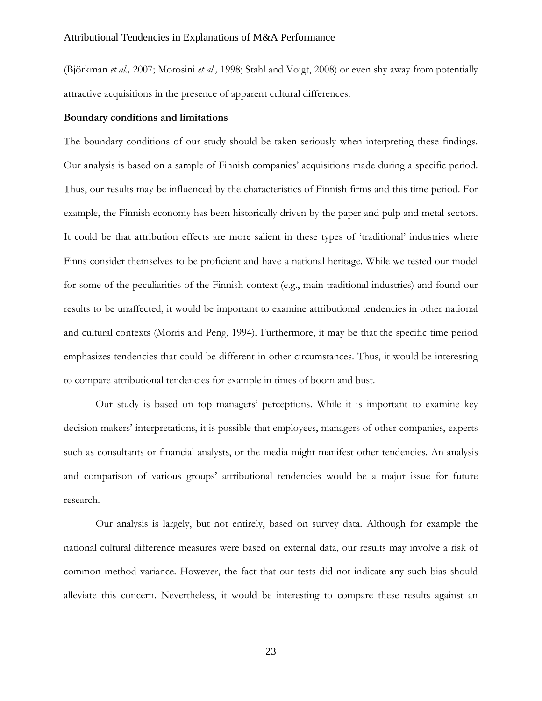(Björkman *et al.,* 2007; Morosini *et al.,* 1998; Stahl and Voigt, 2008) or even shy away from potentially attractive acquisitions in the presence of apparent cultural differences.

# **Boundary conditions and limitations**

The boundary conditions of our study should be taken seriously when interpreting these findings. Our analysis is based on a sample of Finnish companies' acquisitions made during a specific period. Thus, our results may be influenced by the characteristics of Finnish firms and this time period. For example, the Finnish economy has been historically driven by the paper and pulp and metal sectors. It could be that attribution effects are more salient in these types of 'traditional' industries where Finns consider themselves to be proficient and have a national heritage. While we tested our model for some of the peculiarities of the Finnish context (e.g., main traditional industries) and found our results to be unaffected, it would be important to examine attributional tendencies in other national and cultural contexts (Morris and Peng, 1994). Furthermore, it may be that the specific time period emphasizes tendencies that could be different in other circumstances. Thus, it would be interesting to compare attributional tendencies for example in times of boom and bust.

Our study is based on top managers' perceptions. While it is important to examine key decision-makers' interpretations, it is possible that employees, managers of other companies, experts such as consultants or financial analysts, or the media might manifest other tendencies. An analysis and comparison of various groups' attributional tendencies would be a major issue for future research.

Our analysis is largely, but not entirely, based on survey data. Although for example the national cultural difference measures were based on external data, our results may involve a risk of common method variance. However, the fact that our tests did not indicate any such bias should alleviate this concern. Nevertheless, it would be interesting to compare these results against an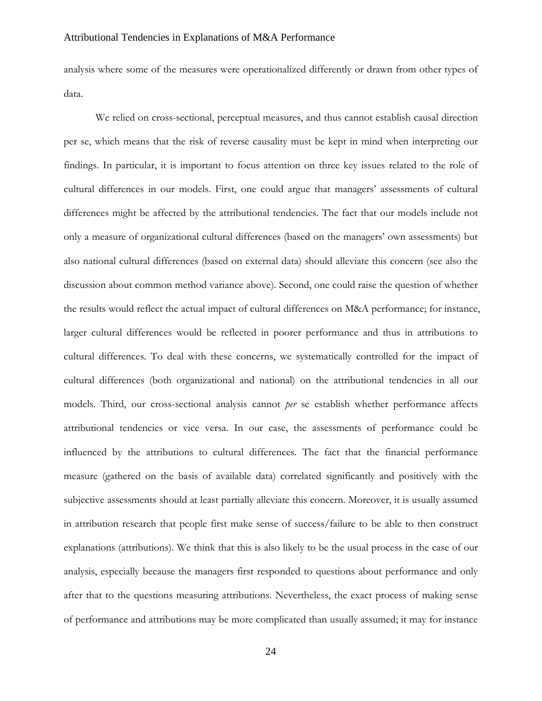analysis where some of the measures were operationalized differently or drawn from other types of data.

We relied on cross-sectional, perceptual measures, and thus cannot establish causal direction per se, which means that the risk of reverse causality must be kept in mind when interpreting our findings. In particular, it is important to focus attention on three key issues related to the role of cultural differences in our models. First, one could argue that managers' assessments of cultural differences might be affected by the attributional tendencies. The fact that our models include not only a measure of organizational cultural differences (based on the managers' own assessments) but also national cultural differences (based on external data) should alleviate this concern (see also the discussion about common method variance above). Second, one could raise the question of whether the results would reflect the actual impact of cultural differences on M&A performance; for instance, larger cultural differences would be reflected in poorer performance and thus in attributions to cultural differences. To deal with these concerns, we systematically controlled for the impact of cultural differences (both organizational and national) on the attributional tendencies in all our models. Third, our cross-sectional analysis cannot *per* se establish whether performance affects attributional tendencies or vice versa. In our case, the assessments of performance could be influenced by the attributions to cultural differences. The fact that the financial performance measure (gathered on the basis of available data) correlated significantly and positively with the subjective assessments should at least partially alleviate this concern. Moreover, it is usually assumed in attribution research that people first make sense of success/failure to be able to then construct explanations (attributions). We think that this is also likely to be the usual process in the case of our analysis, especially because the managers first responded to questions about performance and only after that to the questions measuring attributions. Nevertheless, the exact process of making sense of performance and attributions may be more complicated than usually assumed; it may for instance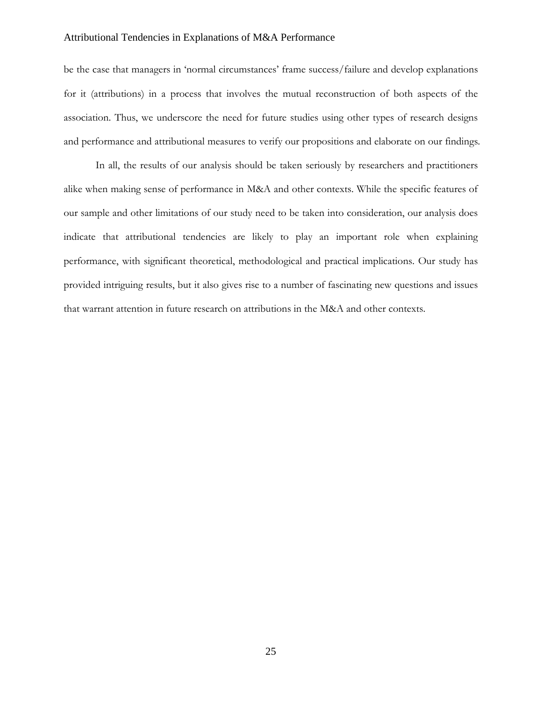be the case that managers in 'normal circumstances' frame success/failure and develop explanations for it (attributions) in a process that involves the mutual reconstruction of both aspects of the association. Thus, we underscore the need for future studies using other types of research designs and performance and attributional measures to verify our propositions and elaborate on our findings.

In all, the results of our analysis should be taken seriously by researchers and practitioners alike when making sense of performance in M&A and other contexts. While the specific features of our sample and other limitations of our study need to be taken into consideration, our analysis does indicate that attributional tendencies are likely to play an important role when explaining performance, with significant theoretical, methodological and practical implications. Our study has provided intriguing results, but it also gives rise to a number of fascinating new questions and issues that warrant attention in future research on attributions in the M&A and other contexts.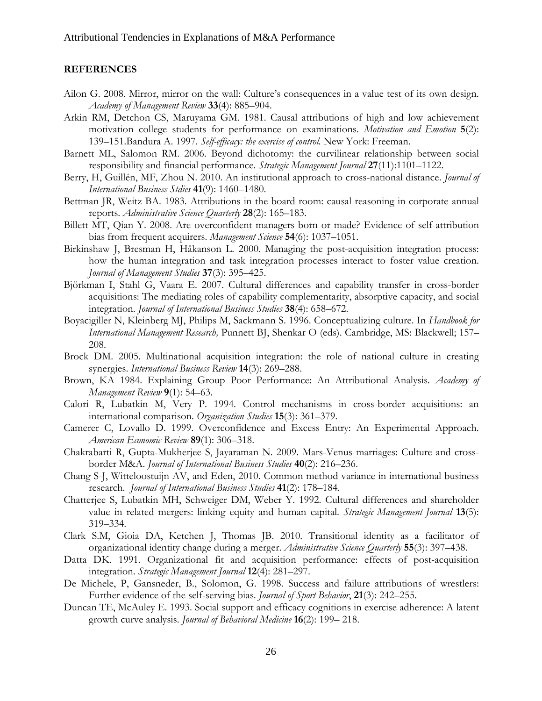# **REFERENCES**

- Ailon G. 2008. Mirror, mirror on the wall: Culture's consequences in a value test of its own design. *Academy of Management Review* **33**(4): 885–904.
- Arkin RM, Detchon CS, Maruyama GM. 1981. Causal attributions of high and low achievement motivation college students for performance on examinations. *Motivation and Emotion* **5**(2): 139–151.Bandura A. 1997. *Self-efficacy: the exercise of control.* New York: Freeman.
- Barnett ML, Salomon RM. 2006. Beyond dichotomy: the curvilinear relationship between social responsibility and financial performance. *Strategic Management Journal* **27**(11):1101–1122.
- Berry, H, Guillén, MF, Zhou N. 2010. An institutional approach to cross-national distance. *Journal of International Business Stdies* **41**(9): 1460–1480.
- Bettman JR, Weitz BA. 1983. Attributions in the board room: causal reasoning in corporate annual reports. *Administrative Science Quarterly* **28**(2): 165–183.
- Billett MT, Qian Y. 2008. Are overconfident managers born or made? Evidence of self-attribution bias from frequent acquirers. *Management Science* **54**(6): 1037–1051.
- Birkinshaw J, Bresman H, Håkanson L. 2000. Managing the post-acquisition integration process: how the human integration and task integration processes interact to foster value creation. *Journal of Management Studies* **37**(3): 395–425.
- Björkman I, Stahl G, Vaara E. 2007. Cultural differences and capability transfer in cross-border acquisitions: The mediating roles of capability complementarity, absorptive capacity, and social integration. *Journal of International Business Studies* **38**(4): 658–672.
- Boyacigiller N, Kleinberg MJ, Philips M, Sackmann S. 1996. Conceptualizing culture. In *Handbook for International Management Research,* Punnett BJ, Shenkar O (eds). Cambridge, MS: Blackwell; 157– 208.
- Brock DM. 2005. Multinational acquisition integration: the role of national culture in creating synergies. *International Business Review* **14**(3): 269–288.
- Brown, KA 1984. Explaining Group Poor Performance: An Attributional Analysis. *Academy of Management Review* **9**(1): 54–63.
- Calori R, Lubatkin M, Very P. 1994. Control mechanisms in cross-border acquisitions: an international comparison. *Organization Studies* **15**(3): 361–379.
- Camerer C, Lovallo D. 1999. Overconfidence and Excess Entry: An Experimental Approach. *American Economic Review* **89**(1): 306–318.
- Chakrabarti R, Gupta-Mukherjee S, Jayaraman N. 2009. Mars-Venus marriages: Culture and crossborder M&A. *Journal of International Business Studies* **40**(2): 216–236.
- Chang S-J, Witteloostuijn AV, and Eden, 2010. Common method variance in international business research. *Journal of International Business Studies* **41**(2): 178–184.
- Chatterjee S, Lubatkin MH, Schweiger DM, Weber Y. 1992. Cultural differences and shareholder value in related mergers: linking equity and human capital. *Strategic Management Journal* **13**(5): 319–334.
- Clark S.M, Gioia DA, Ketchen J, Thomas JB. 2010. Transitional identity as a facilitator of organizational identity change during a merger. *Administrative Science Quarterly* **55**(3): 397–438.
- Datta DK. 1991. Organizational fit and acquisition performance: effects of post-acquisition integration. *Strategic Management Journal* **12**(4): 281–297.
- De Michele, P, Gansneder, B., Solomon, G. 1998. Success and failure attributions of wrestlers: Further evidence of the self-serving bias. *Journal of Sport Behavior*, **21**(3): 242–255.
- Duncan TE, McAuley E. 1993. Social support and efficacy cognitions in exercise adherence: A latent growth curve analysis. *Journal of Behavioral Medicine* **16**(2): 199– 218.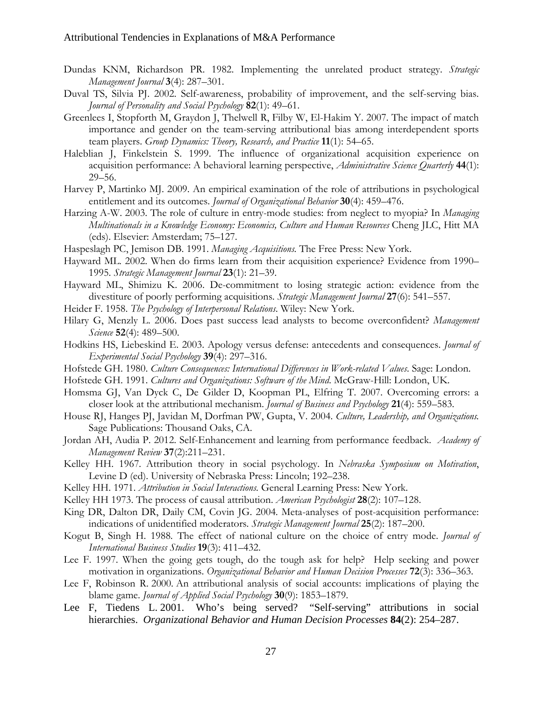- Dundas KNM, Richardson PR. 1982. Implementing the unrelated product strategy. *Strategic Management Journal* **3**(4): 287–301.
- Duval TS, Silvia PJ. 2002. Self-awareness, probability of improvement, and the self-serving bias. *Journal of Personality and Social Psychology* **82**(1): 49–61.
- Greenlees I, Stopforth M, Graydon J, Thelwell R, Filby W, El-Hakim Y. 2007. The impact of match importance and gender on the team-serving attributional bias among interdependent sports team players. *Group Dynamics: Theory, Research, and Practice* **11**(1): 54–65.
- Haleblian J, Finkelstein S. 1999. The influence of organizational acquisition experience on acquisition performance: A behavioral learning perspective, *Administrative Science Quarterly* **44**(1): 29–56.
- Harvey P, Martinko MJ. 2009. An empirical examination of the role of attributions in psychological entitlement and its outcomes. *Journal of Organizational Behavior* **30**(4): 459–476.
- Harzing A-W. 2003. The role of culture in entry-mode studies: from neglect to myopia? In *Managing Multinationals in a Knowledge Economy: Economics, Culture and Human Resources* Cheng JLC, Hitt MA (eds). Elsevier: Amsterdam; 75–127.
- Haspeslagh PC, Jemison DB. 1991. *Managing Acquisitions.* The Free Press: New York.
- Hayward ML. 2002. When do firms learn from their acquisition experience? Evidence from 1990– 1995. *Strategic Management Journal* **23**(1): 21–39.
- Hayward ML, Shimizu K. 2006. De-commitment to losing strategic action: evidence from the divestiture of poorly performing acquisitions. *Strategic Management Journal* **27**(6): 541–557.
- Heider F. 1958. *The Psychology of Interpersonal Relations*. Wiley: New York.
- Hilary G, Menzly L. 2006. Does past success lead analysts to become overconfident? *Management Science* **52**(4): 489–500.
- Hodkins HS, Liebeskind E. 2003. Apology versus defense: antecedents and consequences. *Journal of Experimental Social Psychology* **39**(4): 297–316.
- Hofstede GH. 1980. *Culture Consequences: International Differences in Work-related Values*. Sage: London.
- Hofstede GH. 1991. *Cultures and Organizations: Software of the Mind*. McGraw-Hill: London, UK.
- Homsma GJ, Van Dyck C, De Gilder D, Koopman PL, Elfring T. 2007. Overcoming errors: a closer look at the attributional mechanism. *Journal of Business and Psychology* **21**(4): 559–583.
- House RJ, Hanges PJ, Javidan M, Dorfman PW, Gupta, V. 2004. *Culture, Leadership, and Organizations.* Sage Publications: Thousand Oaks, CA.
- Jordan AH, Audia P. 2012. Self-Enhancement and learning from performance feedback. *Academy of Management Review* **37**(2):211–231.
- Kelley HH. 1967*.* Attribution theory in social psychology*.* In *Nebraska Symposium on Motivation*, Levine D (ed). University of Nebraska Press: Lincoln; 192–238.
- Kelley HH. 1971. *Attribution in Social Interactions.* General Learning Press: New York.
- Kelley HH 1973. The process of causal attribution. *American Psychologist* **28**(2): 107–128.
- King DR, Dalton DR, Daily CM, Covin JG. 2004. Meta-analyses of post-acquisition performance: indications of unidentified moderators. *Strategic Management Journal* **25**(2): 187–200.
- Kogut B, Singh H. 1988. The effect of national culture on the choice of entry mode. *Journal of International Business Studies* **19**(3): 411–432.
- Lee F. 1997. When the going gets tough, do the tough ask for help? Help seeking and power motivation in organizations. *Organizational Behavior and Human Decision Processes* **72**(3): 336–363.
- Lee F, Robinson R. 2000. An attributional analysis of social accounts: implications of playing the blame game. *Journal of Applied Social Psychology* **30**(9): 1853–1879.
- Lee F, Tiedens L. 2001. Who's being served? "Self-serving" attributions in social hierarchies. *Organizational Behavior and Human Decision Processes* **84**(2): 254–287.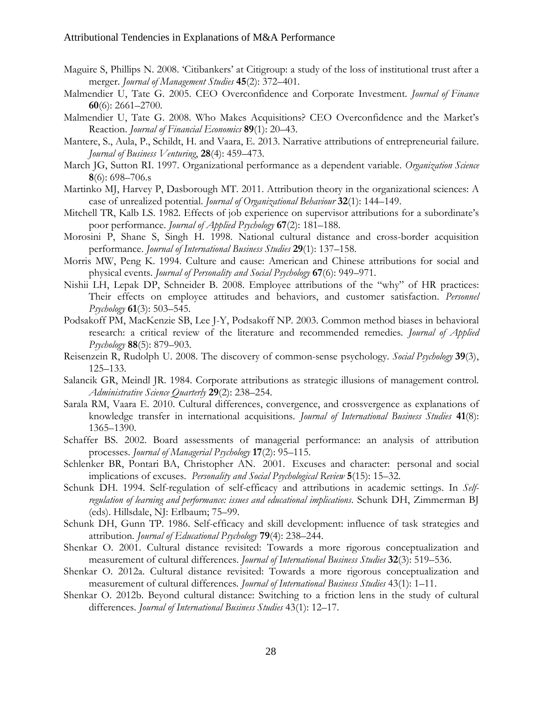- Maguire S, Phillips N. 2008. 'Citibankers' at Citigroup: a study of the loss of institutional trust after a merger. *Journal of Management Studies* **45**(2): 372–401.
- Malmendier U, Tate G. 2005. CEO Overconfidence and Corporate Investment. *Journal of Finance* **60**(6): 2661–2700.
- Malmendier U, Tate G. 2008. Who Makes Acquisitions? CEO Overconfidence and the Market's Reaction. *Journal of Financial Economics* **89**(1): 20–43.
- Mantere, S., Aula, P., Schildt, H. and Vaara, E. 2013. Narrative attributions of entrepreneurial failure. *Journal of Business Venturing*, **28**(4): 459–473.
- March JG, Sutton RI. 1997. Organizational performance as a dependent variable. *Organization Science*  **8**(6): 698–706.s
- Martinko MJ, Harvey P, Dasborough MT. 2011. Attribution theory in the organizational sciences: A case of unrealized potential. *Journal of Organizational Behaviour* **32**(1): 144–149.
- Mitchell TR, Kalb LS. 1982. Effects of job experience on supervisor attributions for a subordinate's poor performance. *Journal of Applied Psychology* **67**(2): 181–188.
- Morosini P, Shane S, Singh H. 1998. National cultural distance and cross-border acquisition performance. *Journal of International Business Studies* **29**(1): 137–158.
- Morris MW, Peng K. 1994. Culture and cause: American and Chinese attributions for social and physical events. *Journal of Personality and Social Psychology* **67**(6): 949–971.
- Nishii LH, Lepak DP, Schneider B. 2008. Employee attributions of the "why" of HR practices: Their effects on employee attitudes and behaviors, and customer satisfaction. *Personnel Psychology* **61**(3): 503–545.
- Podsakoff PM, MacKenzie SB, Lee J-Y, Podsakoff NP. 2003. Common method biases in behavioral research: a critical review of the literature and recommended remedies. *Journal of Applied Psychology* **88**(5): 879–903.
- Reisenzein R, Rudolph U. 2008. The discovery of common-sense psychology. *Social Psychology* **39**(3), 125–133.
- Salancik GR, Meindl JR. 1984. Corporate attributions as strategic illusions of management control. *Administrative Science Quarterly* **29**(2): 238–254.
- Sarala RM, Vaara E. 2010. Cultural differences, convergence, and crossvergence as explanations of knowledge transfer in international acquisitions. *Journal of International Business Studies* **41**(8): 1365–1390.
- Schaffer BS. 2002. Board assessments of managerial performance: an analysis of attribution processes. *Journal of Managerial Psychology* **17**(2): 95–115.
- Schlenker BR, Pontari BA, Christopher AN. 2001. Excuses and character: personal and social implications of excuses. *Personality and Social Psychological Review* **5**(15): 15–32.
- Schunk DH. 1994. Self-regulation of self-efficacy and attributions in academic settings. In *Selfregulation of learning and performance: issues and educational implications*. Schunk DH, Zimmerman BJ (eds). Hillsdale, NJ: Erlbaum; 75–99.
- Schunk DH, Gunn TP. 1986. Self-efficacy and skill development: influence of task strategies and attribution. *Journal of Educational Psychology* **79**(4): 238–244.
- Shenkar O. 2001. Cultural distance revisited: Towards a more rigorous conceptualization and measurement of cultural differences. *Journal of International Business Studies* **32**(3): 519–536.
- Shenkar O. 2012a. Cultural distance revisited: Towards a more rigorous conceptualization and measurement of cultural differences*. Journal of International Business Studies* 43(1): 1–11.
- Shenkar O. 2012b. Beyond cultural distance: Switching to a friction lens in the study of cultural differences. *Journal of International Business Studies* 43(1): 12–17.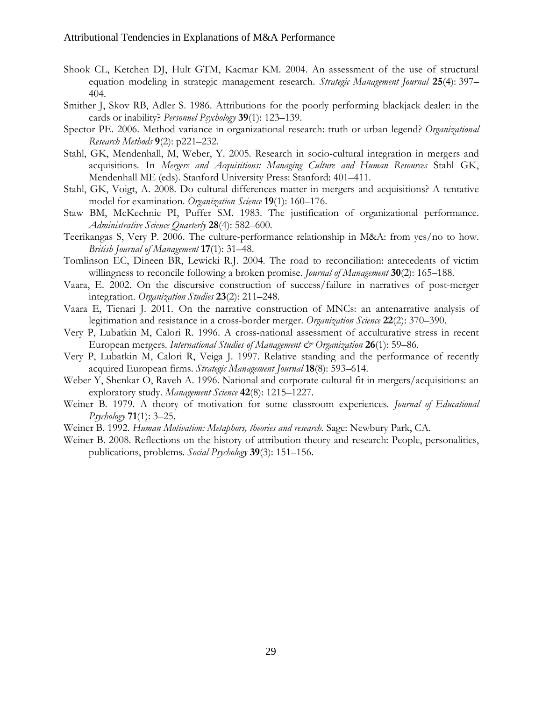- Shook CL, Ketchen DJ, Hult GTM, Kacmar KM. 2004. An assessment of the use of structural equation modeling in strategic management research. *Strategic Management Journal* **25**(4): 397– 404.
- Smither J, Skov RB, Adler S. 1986. Attributions for the poorly performing blackjack dealer: in the cards or inability? *Personnel Psychology* **39**(1): 123–139.
- Spector PE. 2006. Method variance in organizational research: truth or urban legend? *Organizational Research Methods* **9**(2): p221–232.
- Stahl, GK, Mendenhall, M, Weber, Y. 2005. Research in socio-cultural integration in mergers and acquisitions. In *Mergers and Acquisitions: Managing Culture and Human Resources* Stahl GK, Mendenhall ME (eds). Stanford University Press: Stanford: 401–411.
- Stahl, GK, Voigt, A. 2008. Do cultural differences matter in mergers and acquisitions? A tentative model for examination. *Organization Science* **19**(1): 160–176.
- Staw BM, McKechnie PI, Puffer SM. 1983. The justification of organizational performance. *Administrative Science Quarterly* **28**(4): 582–600.
- Teerikangas S, Very P. 2006. The culture-performance relationship in M&A: from yes/no to how. *British Journal of Management* **17**(1): 31–48.
- Tomlinson EC, Dineen BR, Lewicki R.J. 2004. The road to reconciliation: antecedents of victim willingness to reconcile following a broken promise. *Journal of Management* **30**(2): 165–188.
- Vaara, E. 2002. On the discursive construction of success/failure in narratives of post-merger integration. *Organization Studies* **23**(2): 211–248.
- Vaara E, Tienari J. 2011. On the narrative construction of MNCs: an antenarrative analysis of legitimation and resistance in a cross-border merger. *Organization Science* **22**(2): 370–390.
- Very P, Lubatkin M, Calori R. 1996. A cross-national assessment of acculturative stress in recent European mergers. *International Studies of Management & Organization* **26**(1): 59–86.
- Very P, Lubatkin M, Calori R, Veiga J. 1997. Relative standing and the performance of recently acquired European firms. *Strategic Management Journal* **18**(8): 593–614.
- Weber Y, Shenkar O, Raveh A. 1996. National and corporate cultural fit in mergers/acquisitions: an exploratory study. *Management Science* **42**(8): 1215–1227.
- Weiner B. 1979. A theory of motivation for some classroom experiences. *Journal of Educational Psychology* **71**(1): 3–25.
- Weiner B. 1992*. Human Motivation: Metaphors, theories and research.* Sage: Newbury Park, CA.
- Weiner B. 2008. Reflections on the history of attribution theory and research: People, personalities, publications, problems. *Social Psychology* **39**(3): 151–156.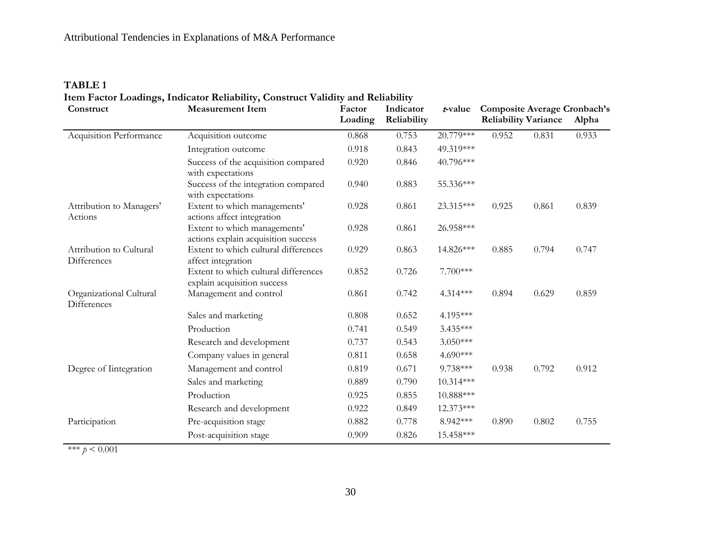# **TABLE 1**

**Item Factor Loadings, Indicator Reliability, Construct Validity and Reliability**

| Construct                                     | <b>Measurement Item</b>                                             | Factor<br>Loading | Indicator<br>Reliability | t-value     | <b>Reliability Variance</b> | <b>Composite Average Cronbach's</b><br>Alpha |       |
|-----------------------------------------------|---------------------------------------------------------------------|-------------------|--------------------------|-------------|-----------------------------|----------------------------------------------|-------|
| Acquisition Performance                       | Acquisition outcome                                                 | 0.868             | 0.753                    | 20.779***   | 0.952                       | 0.933                                        |       |
|                                               | Integration outcome                                                 | 0.918             | 0.843                    | 49.319***   |                             |                                              |       |
|                                               | Success of the acquisition compared<br>with expectations            | 0.920             | 0.846                    | 40.796***   |                             |                                              |       |
|                                               | Success of the integration compared<br>with expectations            | 0.940             | 0.883                    | 55.336***   |                             |                                              |       |
| Attribution to Managers'<br>Actions           | Extent to which managements'<br>actions affect integration          | 0.928             | 0.861                    | 23.315***   | 0.925                       | 0.861                                        | 0.839 |
|                                               | Extent to which managements'<br>actions explain acquisition success | 0.928             | 0.861                    | 26.958***   |                             |                                              |       |
| Attribution to Cultural<br><b>Differences</b> | Extent to which cultural differences<br>affect integration          | 0.929             | 0.863                    | 14.826***   | 0.885                       | 0.794                                        | 0.747 |
|                                               | Extent to which cultural differences<br>explain acquisition success | 0.852             | 0.726                    | 7.700***    |                             |                                              |       |
| Organizational Cultural<br>Differences        | Management and control                                              | 0.861             | 0.742                    | $4.314***$  | 0.894                       | 0.629                                        | 0.859 |
|                                               | Sales and marketing                                                 | 0.808             | 0.652                    | 4.195***    |                             |                                              |       |
|                                               | Production                                                          | 0.741             | 0.549                    | 3.435***    |                             |                                              |       |
|                                               | Research and development                                            | 0.737             | 0.543                    | $3.050***$  |                             |                                              |       |
|                                               | Company values in general                                           | 0.811             | 0.658                    | 4.690***    |                             |                                              |       |
| Degree of Integration                         | Management and control                                              | 0.819             | 0.671                    | 9.738***    | 0.938                       | 0.792                                        | 0.912 |
|                                               | Sales and marketing                                                 | 0.889             | 0.790                    | 10.314***   |                             |                                              |       |
|                                               | Production                                                          | 0.925             | 0.855                    | $10.888***$ |                             |                                              |       |
|                                               | Research and development                                            | 0.922             | 0.849                    | 12.373***   |                             |                                              |       |
| Participation                                 | Pre-acquisition stage                                               | 0.882             | 0.778                    | 8.942***    | 0.890                       | 0.802                                        | 0.755 |
|                                               | Post-acquisition stage                                              | 0.909             | 0.826                    | 15.458***   |                             |                                              |       |

\*\*\*  $p < 0.001$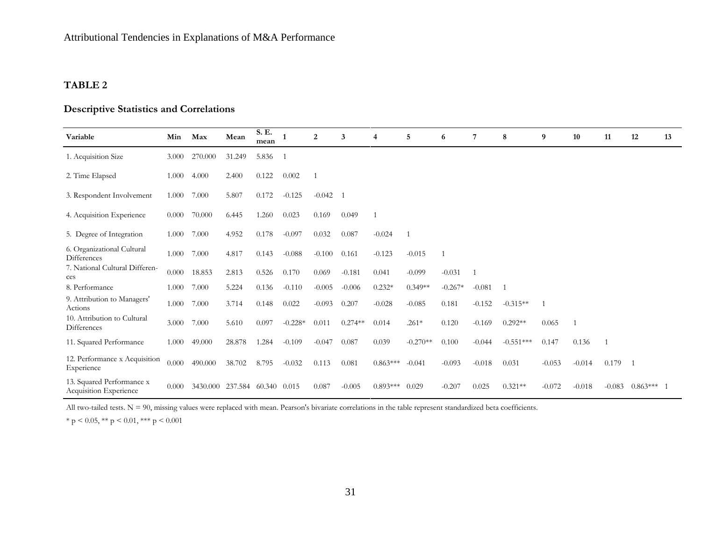# **TABLE 2**

# **Descriptive Statistics and Correlations**

| Variable                                            | Min   | Max      | Mean           | S. E.<br>mean |                | 2            | 3         | $\overline{4}$ | 5          | 6         | 7        | 8            | 9        | 10             | 11           | 12           | 13 |
|-----------------------------------------------------|-------|----------|----------------|---------------|----------------|--------------|-----------|----------------|------------|-----------|----------|--------------|----------|----------------|--------------|--------------|----|
| 1. Acquisition Size                                 | 3.000 | 270,000  | 31.249         | 5.836         | $\overline{1}$ |              |           |                |            |           |          |              |          |                |              |              |    |
| 2. Time Elapsed                                     | 1.000 | 4.000    | 2.400          | 0.122         | 0.002          |              |           |                |            |           |          |              |          |                |              |              |    |
| 3. Respondent Involvement                           | 1.000 | 7.000    | 5.807          | 0.172         | $-0.125$       | $-0.042 - 1$ |           |                |            |           |          |              |          |                |              |              |    |
| 4. Acquisition Experience                           | 0.000 | 70.000   | 6.445          | 1.260         | 0.023          | 0.169        | 0.049     | $\mathbf{1}$   |            |           |          |              |          |                |              |              |    |
| 5. Degree of Integration                            | 1.000 | 7.000    | 4.952          | 0.178         | $-0.097$       | 0.032        | 0.087     | $-0.024$       | -1         |           |          |              |          |                |              |              |    |
| 6. Organizational Cultural<br>Differences           | 1.000 | 7.000    | 4.817          | 0.143         | $-0.088$       | $-0.100$     | 0.161     | $-0.123$       | $-0.015$   |           |          |              |          |                |              |              |    |
| 7. National Cultural Differen-<br>ces               | 0.000 | 18.853   | 2.813          | 0.526         | 0.170          | 0.069        | $-0.181$  | 0.041          | $-0.099$   | $-0.031$  | -1       |              |          |                |              |              |    |
| 8. Performance                                      | 1.000 | 7.000    | 5.224          | 0.136         | $-0.110$       | $-0.005$     | $-0.006$  | $0.232*$       | $0.349**$  | $-0.267*$ | $-0.081$ | $\mathbf{1}$ |          |                |              |              |    |
| 9. Attribution to Managers'<br>Actions              | 1.000 | 7.000    | 3.714          | 0.148         | 0.022          | $-0.093$     | 0.207     | $-0.028$       | $-0.085$   | 0.181     | $-0.152$ | $-0.315**$   |          |                |              |              |    |
| 10. Attribution to Cultural<br>Differences          | 3.000 | 7.000    | 5.610          | 0.097         | $-0.228*$      | 0.011        | $0.274**$ | 0.014          | $.261*$    | 0.120     | $-0.169$ | $0.292**$    | 0.065    | $\overline{1}$ |              |              |    |
| 11. Squared Performance                             | 1.000 | 49.000   | 28.878         | 1.284         | $-0.109$       | $-0.047$     | 0.087     | 0.039          | $-0.270**$ | 0.100     | $-0.044$ | $-0.551***$  | 0.147    | 0.136          | $\mathbf{1}$ |              |    |
| 12. Performance x Acquisition<br>Experience         | 0.000 | 490.000  | 38.702         | 8.795         | $-0.032$       | 0.113        | 0.081     | $0.863***$     | $-0.041$   | $-0.093$  | $-0.018$ | 0.031        | $-0.053$ | $-0.014$       | $0.179 - 1$  |              |    |
| 13. Squared Performance x<br>Acquisition Experience | 0.000 | 3430.000 | 237.584 60.340 |               | 0.015          | 0.087        | $-0.005$  | $0.893***$     | 0.029      | $-0.207$  | 0.025    | $0.321**$    | $-0.072$ | $-0.018$       | $-0.083$     | $0.863***$ 1 |    |

All two-tailed tests. N = 90, missing values were replaced with mean. Pearson's bivariate correlations in the table represent standardized beta coefficients.

\* p < 0.05, \*\* p < 0.01, \*\*\* p < 0.001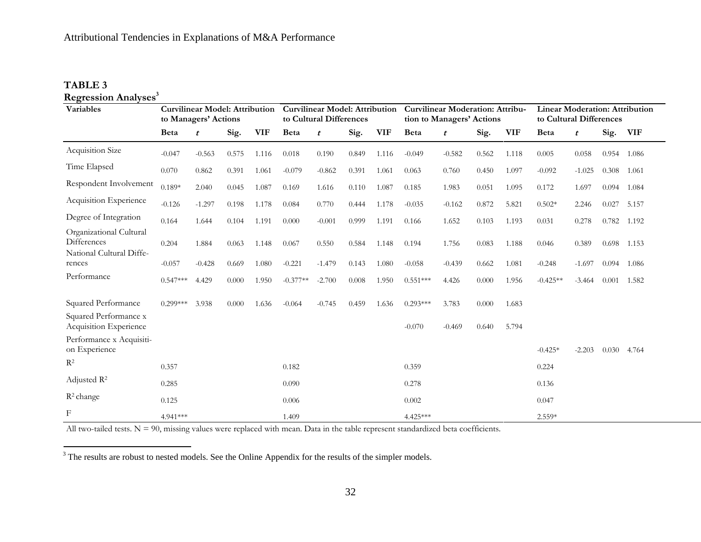# **TABLE 3**

 $\overline{a}$ 

| <b>Regression Analyses<sup>3</sup></b>                                    |                                                               |                  |       |                                                                  |            |                  |       |                                                                      |             |                  |                                                                  |            |            |              |       |            |
|---------------------------------------------------------------------------|---------------------------------------------------------------|------------------|-------|------------------------------------------------------------------|------------|------------------|-------|----------------------------------------------------------------------|-------------|------------------|------------------------------------------------------------------|------------|------------|--------------|-------|------------|
| <b>Variables</b>                                                          | <b>Curvilinear Model: Attribution</b><br>to Managers' Actions |                  |       | <b>Curvilinear Model: Attribution</b><br>to Cultural Differences |            |                  |       | <b>Curvilinear Moderation: Attribu-</b><br>tion to Managers' Actions |             |                  | <b>Linear Moderation: Attribution</b><br>to Cultural Differences |            |            |              |       |            |
|                                                                           | <b>Beta</b>                                                   | $\boldsymbol{t}$ | Sig.  | <b>VIF</b>                                                       | Beta       | $\boldsymbol{t}$ | Sig.  | <b>VIF</b>                                                           | <b>Beta</b> | $\boldsymbol{t}$ | Sig.                                                             | <b>VIF</b> | Beta       | $\mathbf{t}$ | Sig.  | <b>VIF</b> |
| Acquisition Size                                                          | $-0.047$                                                      | $-0.563$         | 0.575 | 1.116                                                            | 0.018      | 0.190            | 0.849 | 1.116                                                                | $-0.049$    | $-0.582$         | 0.562                                                            | 1.118      | 0.005      | 0.058        | 0.954 | 1.086      |
| Time Elapsed                                                              | 0.070                                                         | 0.862            | 0.391 | 1.061                                                            | $-0.079$   | $-0.862$         | 0.391 | 1.061                                                                | 0.063       | 0.760            | 0.450                                                            | 1.097      | $-0.092$   | $-1.025$     | 0.308 | 1.061      |
| Respondent Involvement                                                    | $0.189*$                                                      | 2.040            | 0.045 | 1.087                                                            | 0.169      | 1.616            | 0.110 | 1.087                                                                | 0.185       | 1.983            | 0.051                                                            | 1.095      | 0.172      | 1.697        | 0.094 | 1.084      |
| Acquisition Experience                                                    | $-0.126$                                                      | $-1.297$         | 0.198 | 1.178                                                            | 0.084      | 0.770            | 0.444 | 1.178                                                                | $-0.035$    | $-0.162$         | 0.872                                                            | 5.821      | $0.502*$   | 2.246        | 0.027 | 5.157      |
| Degree of Integration                                                     | 0.164                                                         | 1.644            | 0.104 | 1.191                                                            | 0.000      | $-0.001$         | 0.999 | 1.191                                                                | 0.166       | 1.652            | 0.103                                                            | 1.193      | 0.031      | 0.278        | 0.782 | 1.192      |
| Organizational Cultural<br><b>Differences</b><br>National Cultural Diffe- | 0.204                                                         | 1.884            | 0.063 | 1.148                                                            | 0.067      | 0.550            | 0.584 | 1.148                                                                | 0.194       | 1.756            | 0.083                                                            | 1.188      | 0.046      | 0.389        | 0.698 | 1.153      |
| rences                                                                    | $-0.057$                                                      | $-0.428$         | 0.669 | 1.080                                                            | $-0.221$   | $-1.479$         | 0.143 | 1.080                                                                | $-0.058$    | $-0.439$         | 0.662                                                            | 1.081      | $-0.248$   | $-1.697$     | 0.094 | 1.086      |
| Performance                                                               | $0.547***$                                                    | 4.429            | 0.000 | 1.950                                                            | $-0.377**$ | $-2.700$         | 0.008 | 1.950                                                                | $0.551***$  | 4.426            | 0.000                                                            | 1.956      | $-0.425**$ | $-3.464$     | 0.001 | 1.582      |
| Squared Performance                                                       | $0.299***$                                                    | 3.938            | 0.000 | 1.636                                                            | $-0.064$   | $-0.745$         | 0.459 | 1.636                                                                | $0.293***$  | 3.783            | 0.000                                                            | 1.683      |            |              |       |            |
| Squared Performance x<br>Acquisition Experience                           |                                                               |                  |       |                                                                  |            |                  |       |                                                                      | $-0.070$    | $-0.469$         | 0.640                                                            | 5.794      |            |              |       |            |
| Performance x Acquisiti-<br>on Experience                                 |                                                               |                  |       |                                                                  |            |                  |       |                                                                      |             |                  |                                                                  |            | $-0.425*$  | $-2.203$     | 0.030 | 4.764      |
| $R^2$                                                                     | 0.357                                                         |                  |       |                                                                  | 0.182      |                  |       |                                                                      | 0.359       |                  |                                                                  |            | 0.224      |              |       |            |
| Adjusted $\mathbb{R}^2$                                                   | 0.285                                                         |                  |       |                                                                  | 0.090      |                  |       |                                                                      | 0.278       |                  |                                                                  |            | 0.136      |              |       |            |
| $R^2$ change                                                              | 0.125                                                         |                  |       |                                                                  | 0.006      |                  |       |                                                                      | 0.002       |                  |                                                                  |            | 0.047      |              |       |            |
| F                                                                         | 4.941***                                                      |                  |       |                                                                  | 1.409      |                  |       |                                                                      | 4.425***    |                  |                                                                  |            | $2.559*$   |              |       |            |

All two-tailed tests.  $N = 90$ , missing values were replaced with mean. Data in the table represent standardized beta coefficients.

 $3$  The results are robust to nested models. See the Online Appendix for the results of the simpler models.